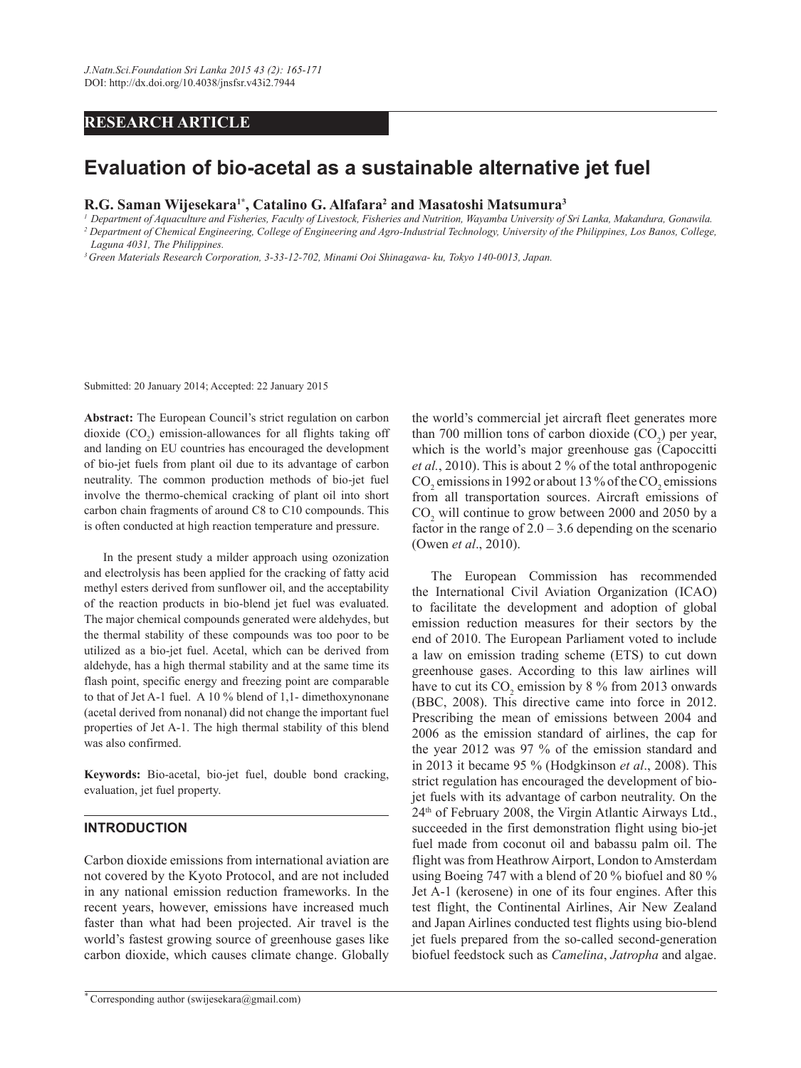## **RESEARCH ARTICLE**

# **Evaluation of bio-acetal as a sustainable alternative jet fuel**

**R.G. Saman Wijesekara1\*, Catalino G. Alfafara2 and Masatoshi Matsumura3**

*<sup>1</sup> Department of Aquaculture and Fisheries, Faculty of Livestock, Fisheries and Nutrition, Wayamba University of Sri Lanka, Makandura, Gonawila. 2 Department of Chemical Engineering, College of Engineering and Agro-Industrial Technology, University of the Philippines, Los Banos, College, Laguna 4031, The Philippines.*

*3 Green Materials Research Corporation, 3-33-12-702, Minami Ooi Shinagawa- ku, Tokyo 140-0013, Japan.*

Submitted: 20 January 2014; Accepted: 22 January 2015

**Abstract:** The European Council's strict regulation on carbon dioxide  $(CO_2)$  emission-allowances for all flights taking off and landing on EU countries has encouraged the development of bio-jet fuels from plant oil due to its advantage of carbon neutrality. The common production methods of bio-jet fuel involve the thermo-chemical cracking of plant oil into short carbon chain fragments of around C8 to C10 compounds. This is often conducted at high reaction temperature and pressure.

In the present study a milder approach using ozonization and electrolysis has been applied for the cracking of fatty acid methyl esters derived from sunflower oil, and the acceptability of the reaction products in bio-blend jet fuel was evaluated. The major chemical compounds generated were aldehydes, but the thermal stability of these compounds was too poor to be utilized as a bio-jet fuel. Acetal, which can be derived from aldehyde, has a high thermal stability and at the same time its flash point, specific energy and freezing point are comparable to that of Jet A-1 fuel. A 10 % blend of 1,1- dimethoxynonane (acetal derived from nonanal) did not change the important fuel properties of Jet A-1. The high thermal stability of this blend was also confirmed.

**Keywords:** Bio-acetal, bio-jet fuel, double bond cracking, evaluation, jet fuel property.

#### **INTRODUCTION**

Carbon dioxide emissions from international aviation are not covered by the Kyoto Protocol, and are not included in any national emission reduction frameworks. In the recent years, however, emissions have increased much faster than what had been projected. Air travel is the world's fastest growing source of greenhouse gases like carbon dioxide, which causes climate change. Globally

the world's commercial jet aircraft fleet generates more than 700 million tons of carbon dioxide  $(CO_2)$  per year, which is the world's major greenhouse gas (Capoccitti *et al.*, 2010). This is about 2 % of the total anthropogenic  $\rm CO_2$  emissions in 1992 or about 13 % of the  $\rm CO_2$  emissions from all transportation sources. Aircraft emissions of  $CO<sub>2</sub>$  will continue to grow between 2000 and 2050 by a factor in the range of  $2.0 - 3.6$  depending on the scenario (Owen *et al*., 2010).

The European Commission has recommended the International Civil Aviation Organization (ICAO) to facilitate the development and adoption of global emission reduction measures for their sectors by the end of 2010. The European Parliament voted to include a law on emission trading scheme (ETS) to cut down greenhouse gases. According to this law airlines will have to cut its  $CO_2$  emission by 8 % from 2013 onwards (BBC, 2008). This directive came into force in 2012. Prescribing the mean of emissions between 2004 and 2006 as the emission standard of airlines, the cap for the year 2012 was 97 % of the emission standard and in 2013 it became 95 % (Hodgkinson *et al*., 2008). This strict regulation has encouraged the development of biojet fuels with its advantage of carbon neutrality. On the 24th of February 2008, the Virgin Atlantic Airways Ltd., succeeded in the first demonstration flight using bio-jet fuel made from coconut oil and babassu palm oil. The flight was from Heathrow Airport, London to Amsterdam using Boeing 747 with a blend of 20 % biofuel and 80 % Jet A-1 (kerosene) in one of its four engines. After this test flight, the Continental Airlines, Air New Zealand and Japan Airlines conducted test flights using bio-blend jet fuels prepared from the so-called second-generation biofuel feedstock such as *Camelina*, *Jatropha* and algae.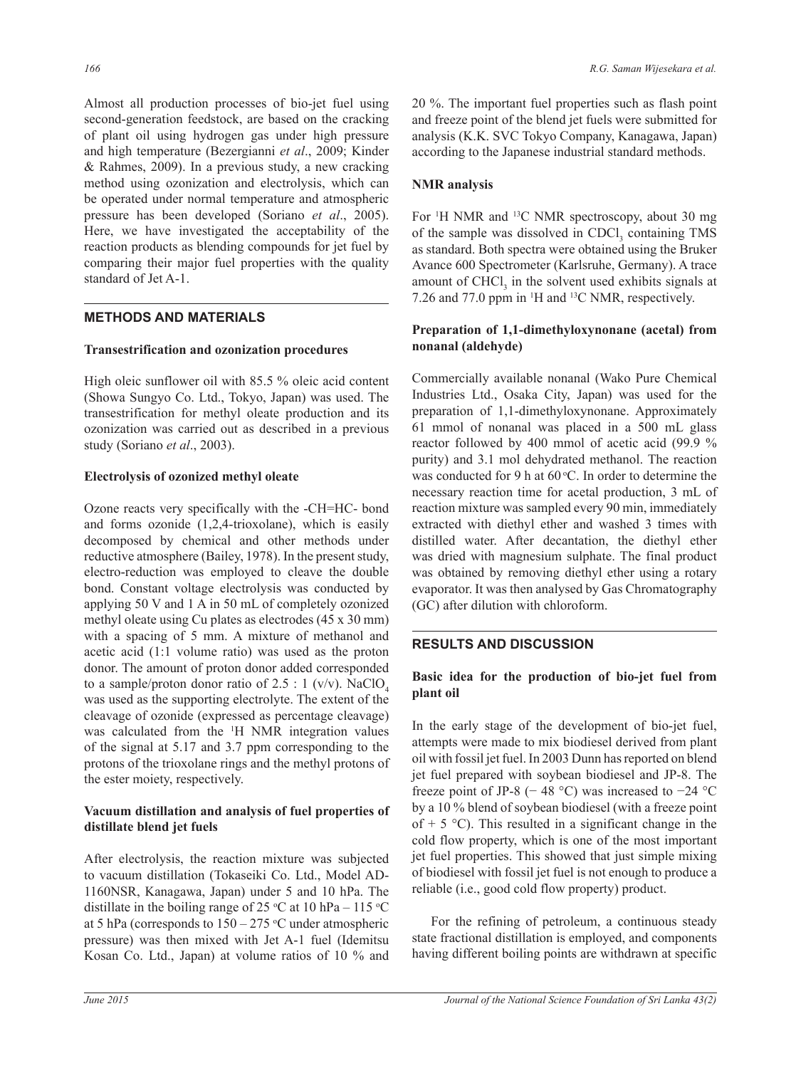Almost all production processes of bio-jet fuel using second-generation feedstock, are based on the cracking of plant oil using hydrogen gas under high pressure and high temperature (Bezergianni *et al*., 2009; Kinder & Rahmes, 2009). In a previous study, a new cracking method using ozonization and electrolysis, which can be operated under normal temperature and atmospheric pressure has been developed (Soriano *et al*., 2005). Here, we have investigated the acceptability of the reaction products as blending compounds for jet fuel by comparing their major fuel properties with the quality standard of Jet A-1.

## **METHODS AND MATERIALS**

#### **Transestrification and ozonization procedures**

High oleic sunflower oil with 85.5 % oleic acid content (Showa Sungyo Co. Ltd., Tokyo, Japan) was used. The transestrification for methyl oleate production and its ozonization was carried out as described in a previous study (Soriano *et al*., 2003).

#### **Electrolysis of ozonized methyl oleate**

Ozone reacts very specifically with the -CH=HC- bond and forms ozonide (1,2,4-trioxolane), which is easily decomposed by chemical and other methods under reductive atmosphere (Bailey, 1978). In the present study, electro-reduction was employed to cleave the double bond. Constant voltage electrolysis was conducted by applying 50 V and 1 A in 50 mL of completely ozonized methyl oleate using Cu plates as electrodes (45 x 30 mm) with a spacing of 5 mm. A mixture of methanol and acetic acid (1:1 volume ratio) was used as the proton donor. The amount of proton donor added corresponded to a sample/proton donor ratio of 2.5 : 1 (v/v). NaClO<sub>4</sub> was used as the supporting electrolyte. The extent of the cleavage of ozonide (expressed as percentage cleavage) was calculated from the 1 H NMR integration values of the signal at 5.17 and 3.7 ppm corresponding to the protons of the trioxolane rings and the methyl protons of the ester moiety, respectively.

#### **Vacuum distillation and analysis of fuel properties of distillate blend jet fuels**

After electrolysis, the reaction mixture was subjected to vacuum distillation (Tokaseiki Co. Ltd., Model AD-1160NSR, Kanagawa, Japan) under 5 and 10 hPa. The distillate in the boiling range of 25 °C at 10 hPa – 115 °C at 5 hPa (corresponds to  $150 - 275$  °C under atmospheric pressure) was then mixed with Jet A-1 fuel (Idemitsu Kosan Co. Ltd., Japan) at volume ratios of 10 % and

20 %. The important fuel properties such as flash point and freeze point of the blend jet fuels were submitted for analysis (K.K. SVC Tokyo Company, Kanagawa, Japan) according to the Japanese industrial standard methods.

## **NMR analysis**

For <sup>1</sup>H NMR and <sup>13</sup>C NMR spectroscopy, about 30 mg of the sample was dissolved in  $CDCI<sub>3</sub>$  containing TMS as standard. Both spectra were obtained using the Bruker Avance 600 Spectrometer (Karlsruhe, Germany). A trace amount of  $CHCl<sub>3</sub>$  in the solvent used exhibits signals at 7.26 and 77.0 ppm in 1 H and 13C NMR, respectively.

#### **Preparation of 1,1-dimethyloxynonane (acetal) from nonanal (aldehyde)**

Commercially available nonanal (Wako Pure Chemical Industries Ltd., Osaka City, Japan) was used for the preparation of 1,1-dimethyloxynonane. Approximately 61 mmol of nonanal was placed in a 500 mL glass reactor followed by 400 mmol of acetic acid (99.9 % purity) and 3.1 mol dehydrated methanol. The reaction was conducted for 9 h at  $60^{\circ}$ C. In order to determine the necessary reaction time for acetal production, 3 mL of reaction mixture was sampled every 90 min, immediately extracted with diethyl ether and washed 3 times with distilled water. After decantation, the diethyl ether was dried with magnesium sulphate. The final product was obtained by removing diethyl ether using a rotary evaporator. It was then analysed by Gas Chromatography (GC) after dilution with chloroform.

## **RESULTS AND DISCUSSION**

## **Basic idea for the production of bio-jet fuel from plant oil**

In the early stage of the development of bio-jet fuel, attempts were made to mix biodiesel derived from plant oil with fossil jet fuel. In 2003 Dunn has reported on blend jet fuel prepared with soybean biodiesel and JP-8. The freeze point of JP-8 (− 48 °C) was increased to  $-24$  °C by a 10 % blend of soybean biodiesel (with a freeze point of  $+ 5 \degree C$ ). This resulted in a significant change in the cold flow property, which is one of the most important jet fuel properties. This showed that just simple mixing of biodiesel with fossil jet fuel is not enough to produce a reliable (i.e., good cold flow property) product.

For the refining of petroleum, a continuous steady state fractional distillation is employed, and components having different boiling points are withdrawn at specific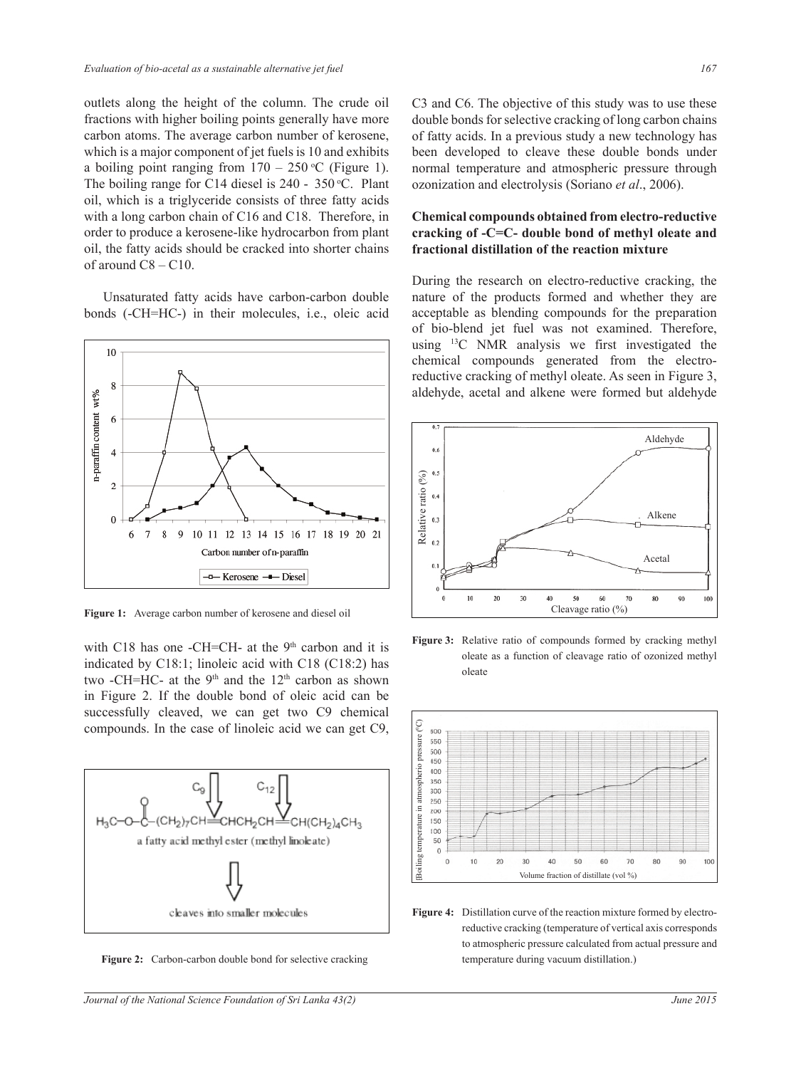outlets along the height of the column. The crude oil fractions with higher boiling points generally have more carbon atoms. The average carbon number of kerosene, which is a major component of jet fuels is 10 and exhibits a boiling point ranging from  $170 - 250$  °C (Figure 1). The boiling range for C14 diesel is  $240 - 350$  °C. Plant oil, which is a triglyceride consists of three fatty acids with a long carbon chain of C16 and C18. Therefore, in order to produce a kerosene-like hydrocarbon from plant oil, the fatty acids should be cracked into shorter chains of around  $\text{C}8 - \text{C}10$ .

Unsaturated fatty acids have carbon-carbon double bonds (-CH=HC-) in their molecules, i.e., oleic acid



**Figure 1:** Average carbon number of kerosene and diesel oil

with C18 has one -CH=CH- at the  $9<sup>th</sup>$  carbon and it is indicated by C18:1; linoleic acid with C18 (C18:2) has two -CH=HC- at the  $9<sup>th</sup>$  and the  $12<sup>th</sup>$  carbon as shown in Figure 2. If the double bond of oleic acid can be successfully cleaved, we can get two C9 chemical compounds. In the case of linoleic acid we can get C9,



**Figure 2:** Carbon-carbon double bond for selective cracking

C3 and C6. The objective of this study was to use these double bonds for selective cracking of long carbon chains of fatty acids. In a previous study a new technology has been developed to cleave these double bonds under normal temperature and atmospheric pressure through ozonization and electrolysis (Soriano *et al*., 2006).

#### **Chemical compounds obtained from electro-reductive cracking of -C=C- double bond of methyl oleate and fractional distillation of the reaction mixture**

During the research on electro-reductive cracking, the nature of the products formed and whether they are acceptable as blending compounds for the preparation of bio-blend jet fuel was not examined. Therefore, using 13C NMR analysis we first investigated the chemical compounds generated from the electroreductive cracking of methyl oleate. As seen in Figure 3, aldehyde, acetal and alkene were formed but aldehyde



**Figure 3:** Relative ratio of compounds formed by cracking methyl oleate as a function of cleavage ratio of ozonized methyl oleate



**Figure 4:** Distillation curve of the reaction mixture formed by electroreductive cracking (temperature of vertical axis corresponds to atmospheric pressure calculated from actual pressure and temperature during vacuum distillation.)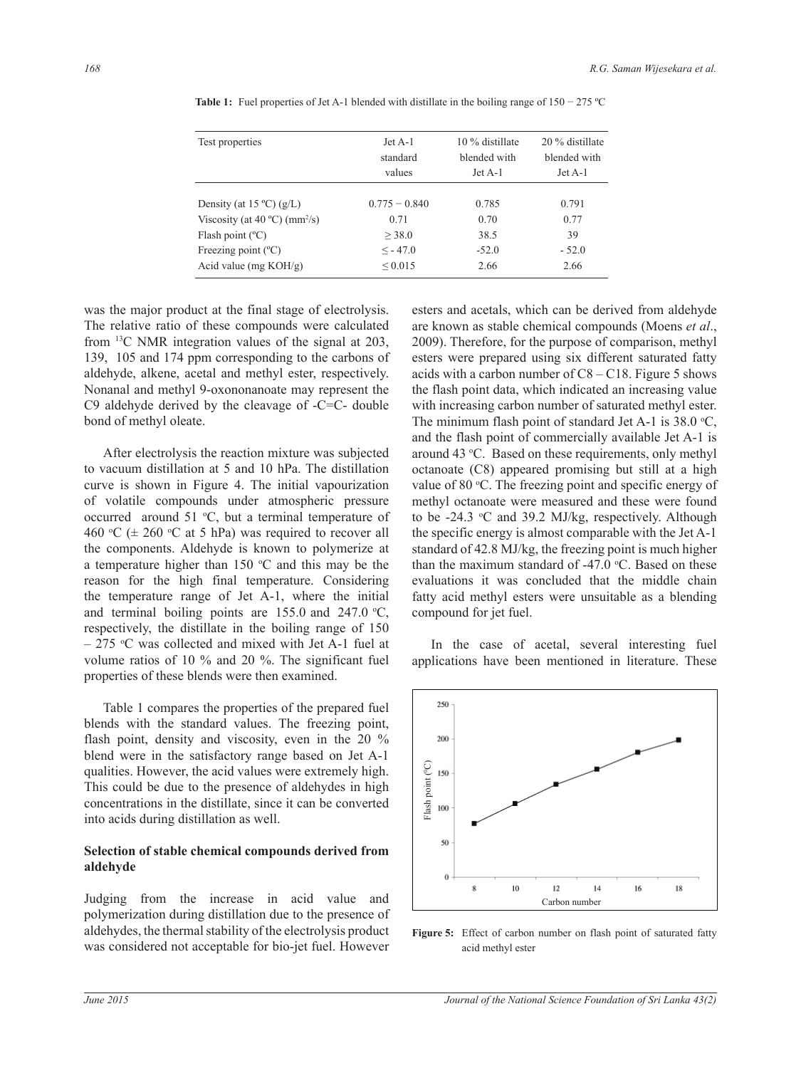| Test properties                                    | $Jet$ A-1<br>standard | 10 % distillate<br>blended with | 20 % distillate<br>blended with |  |
|----------------------------------------------------|-----------------------|---------------------------------|---------------------------------|--|
|                                                    | values                | $Jet$ A-1                       | $Jet A-1$                       |  |
| Density (at $15^{\circ}$ C) (g/L)                  | $0.775 - 0.840$       | 0.785                           | 0.791                           |  |
| Viscosity (at $40^{\circ}$ C) (mm <sup>2</sup> /s) | 0.71                  | 0.70                            | 0.77                            |  |
| Flash point $(^{\circ}C)$                          | > 38.0                | 38.5                            | 39                              |  |
| Freezing point $(^{\circ}C)$                       | $\leq$ - 47.0         | $-52.0$                         | $-52.0$                         |  |
| Acid value (mg $KOH/g$ )                           | ${}_{0.015}$          | 2.66                            | 2.66                            |  |
|                                                    |                       |                                 |                                 |  |

Table 1: Fuel properties of Jet A-1 blended with distillate in the boiling range of 150 − 275 °C

was the major product at the final stage of electrolysis. The relative ratio of these compounds were calculated from 13C NMR integration values of the signal at 203, 139, 105 and 174 ppm corresponding to the carbons of aldehyde, alkene, acetal and methyl ester, respectively. Nonanal and methyl 9-oxononanoate may represent the C9 aldehyde derived by the cleavage of -C=C- double bond of methyl oleate.

After electrolysis the reaction mixture was subjected to vacuum distillation at 5 and 10 hPa. The distillation curve is shown in Figure 4. The initial vapourization of volatile compounds under atmospheric pressure occurred around  $51 \text{ °C}$ , but a terminal temperature of 460 °C ( $\pm$  260 °C at 5 hPa) was required to recover all the components. Aldehyde is known to polymerize at a temperature higher than  $150 \degree C$  and this may be the reason for the high final temperature. Considering the temperature range of Jet A-1, where the initial and terminal boiling points are  $155.0$  and  $247.0$  °C, respectively, the distillate in the boiling range of 150  $-275$  °C was collected and mixed with Jet A-1 fuel at volume ratios of 10 % and 20 %. The significant fuel properties of these blends were then examined.

Table 1 compares the properties of the prepared fuel blends with the standard values. The freezing point, flash point, density and viscosity, even in the 20 % blend were in the satisfactory range based on Jet A-1 qualities. However, the acid values were extremely high. This could be due to the presence of aldehydes in high concentrations in the distillate, since it can be converted into acids during distillation as well.

#### **Selection of stable chemical compounds derived from aldehyde**

Judging from the increase in acid value and polymerization during distillation due to the presence of aldehydes, the thermal stability of the electrolysis product was considered not acceptable for bio-jet fuel. However

esters and acetals, which can be derived from aldehyde are known as stable chemical compounds (Moens *et al*., 2009). Therefore, for the purpose of comparison, methyl esters were prepared using six different saturated fatty acids with a carbon number of  $C8 - C18$ . Figure 5 shows the flash point data, which indicated an increasing value with increasing carbon number of saturated methyl ester. The minimum flash point of standard Jet A-1 is  $38.0 \text{ °C}$ , and the flash point of commercially available Jet A-1 is around 43 °C. Based on these requirements, only methyl octanoate (C8) appeared promising but still at a high value of 80 °C. The freezing point and specific energy of methyl octanoate were measured and these were found to be  $-24.3$  °C and 39.2 MJ/kg, respectively. Although the specific energy is almost comparable with the Jet A-1 standard of 42.8 MJ/kg, the freezing point is much higher than the maximum standard of  $-47.0$  °C. Based on these evaluations it was concluded that the middle chain fatty acid methyl esters were unsuitable as a blending compound for jet fuel.

In the case of acetal, several interesting fuel applications have been mentioned in literature. These



Figure 5: Effect of carbon number on flash point of saturated fatty acid methyl ester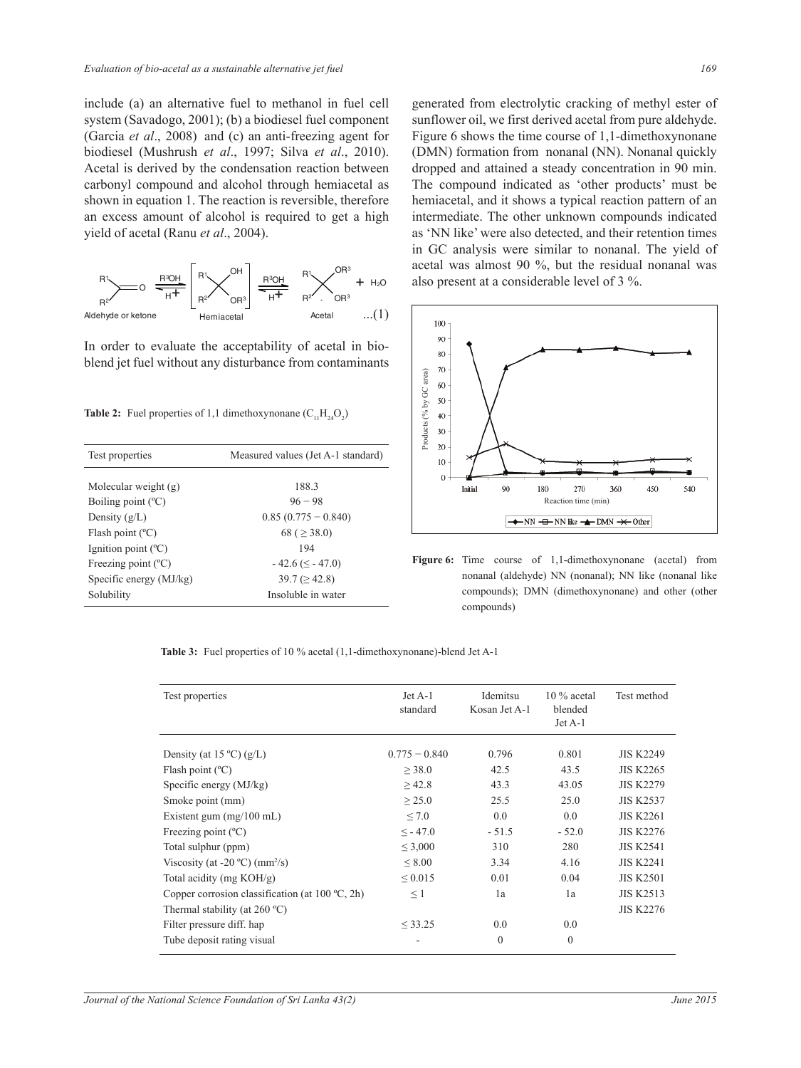include (a) an alternative fuel to methanol in fuel cell system (Savadogo, 2001); (b) a biodiesel fuel component (Garcia *et al*., 2008) and (c) an anti-freezing agent for biodiesel (Mushrush *et al*., 1997; Silva *et al*., 2010). Acetal is derived by the condensation reaction between carbonyl compound and alcohol through hemiacetal as shown in equation 1. The reaction is reversible, therefore an excess amount of alcohol is required to get a high yield of acetal (Ranu *et al*., 2004).



In order to evaluate the acceptability of acetal in bioblend jet fuel without any disturbance from contaminants

**Table 2:** Fuel properties of 1,1 dimethoxynonane  $(C_{11}H_{24}O_2)$ 

| Test properties              | Measured values (Jet A-1 standard) |  |  |
|------------------------------|------------------------------------|--|--|
|                              |                                    |  |  |
| Molecular weight (g)         | 1883                               |  |  |
| Boiling point $(^{\circ}C)$  | $96 - 98$                          |  |  |
| Density $(g/L)$              | $0.85(0.775 - 0.840)$              |  |  |
| Flash point $(^{\circ}C)$    | 68 ( $\geq$ 38.0)                  |  |  |
| Ignition point $(^{\circ}C)$ | 194                                |  |  |
| Freezing point $(^{\circ}C)$ | $-42.6 \ (\leq -47.0)$             |  |  |
| Specific energy (MJ/kg)      | $39.7 \, (\geq 42.8)$              |  |  |
| Solubility                   | Insoluble in water                 |  |  |

also present at a considerable level of  $3\%$ . generated from electrolytic cracking of methyl ester of sunflower oil, we first derived acetal from pure aldehyde. Figure 6 shows the time course of 1,1-dimethoxynonane (DMN) formation from nonanal (NN). Nonanal quickly dropped and attained a steady concentration in 90 min. The compound indicated as 'other products' must be hemiacetal, and it shows a typical reaction pattern of an intermediate. The other unknown compounds indicated as 'NN like' were also detected, and their retention times in GC analysis were similar to nonanal. The yield of acetal was almost 90 %, but the residual nonanal was



**Figure 6:** Time course of 1,1-dimethoxynonane (acetal) from nonanal (aldehyde) NN (nonanal); NN like (nonanal like compounds); DMN (dimethoxynonane) and other (other compounds)

**Table 3:** Fuel properties of 10 % acetal (1,1-dimethoxynonane)-blend Jet A-1

| Test properties                                           | $Jet A-1$<br>standard | Idemitsu<br>Kosan Jet A-1 | $10\%$ acetal<br>blended<br>$Jet A-1$ | Test method      |
|-----------------------------------------------------------|-----------------------|---------------------------|---------------------------------------|------------------|
| Density (at $15^{\circ}$ C) (g/L)                         | $0.775 - 0.840$       | 0.796                     | 0.801                                 | <b>JIS K2249</b> |
| Flash point $(^{\circ}C)$                                 | > 38.0                | 42.5                      | 43.5                                  | <b>JIS K2265</b> |
| Specific energy (MJ/kg)                                   | >42.8                 | 43.3                      | 43.05                                 | <b>JIS K2279</b> |
| Smoke point (mm)                                          | $\geq$ 25.0           | 25.5                      | 25.0                                  | <b>JIS K2537</b> |
| Existent gum $(mg/100 \text{ mL})$                        | $\leq 7.0$            | 0.0                       | 0.0                                   | <b>JIS K2261</b> |
| Freezing point $(^{\circ}C)$                              | $\leq$ - 47.0         | $-51.5$                   | $-52.0$                               | <b>JIS K2276</b> |
| Total sulphur (ppm)                                       | $\leq 3,000$          | 310                       | 280                                   | <b>JIS K2541</b> |
| Viscosity (at -20 $^{\circ}$ C) (mm <sup>2</sup> /s)      | < 8.00                | 3.34                      | 4.16                                  | <b>JIS K2241</b> |
| Total acidity (mg KOH/g)                                  | ${}_{0.015}$          | 0.01                      | 0.04                                  | <b>JIS K2501</b> |
| Copper corrosion classification (at $100 \degree C$ , 2h) | $\leq$ 1              | 1a                        | 1a                                    | <b>JIS K2513</b> |
| Thermal stability (at $260^{\circ}$ C)                    |                       |                           |                                       | <b>JIS K2276</b> |
| Filter pressure diff. hap                                 | < 33.25               | 0.0                       | 0.0                                   |                  |
| Tube deposit rating visual                                |                       | $\theta$                  | $\theta$                              |                  |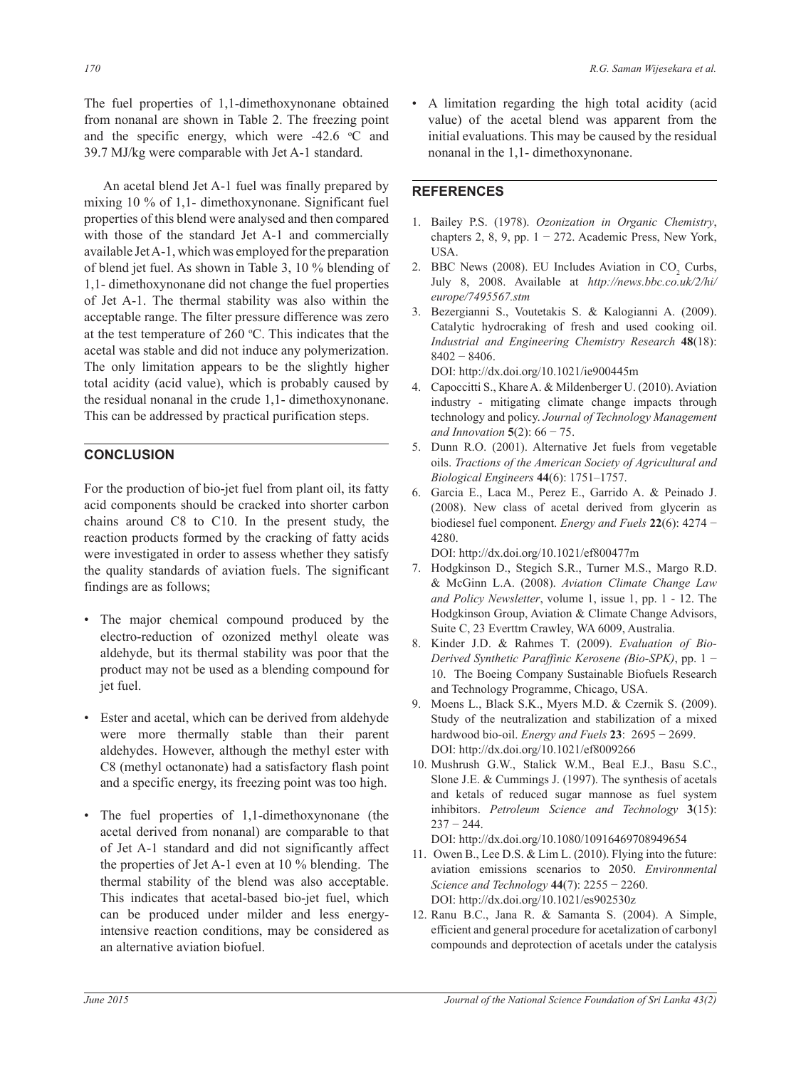The fuel properties of 1,1-dimethoxynonane obtained from nonanal are shown in Table 2. The freezing point and the specific energy, which were  $-42.6$  °C and 39.7 MJ/kg were comparable with Jet A-1 standard.

An acetal blend Jet A-1 fuel was finally prepared by mixing 10 % of 1,1- dimethoxynonane. Significant fuel properties of this blend were analysed and then compared with those of the standard Jet A-1 and commercially available Jet A-1, which was employed for the preparation of blend jet fuel. As shown in Table 3, 10 % blending of 1,1- dimethoxynonane did not change the fuel properties of Jet A-1. The thermal stability was also within the acceptable range. The filter pressure difference was zero at the test temperature of  $260 \degree C$ . This indicates that the acetal was stable and did not induce any polymerization. The only limitation appears to be the slightly higher total acidity (acid value), which is probably caused by the residual nonanal in the crude 1,1- dimethoxynonane. This can be addressed by practical purification steps.

# **CONCLUSION**

For the production of bio-jet fuel from plant oil, its fatty acid components should be cracked into shorter carbon chains around C8 to C10. In the present study, the reaction products formed by the cracking of fatty acids were investigated in order to assess whether they satisfy the quality standards of aviation fuels. The significant findings are as follows;

- The major chemical compound produced by the electro-reduction of ozonized methyl oleate was aldehyde, but its thermal stability was poor that the product may not be used as a blending compound for jet fuel.
- Ester and acetal, which can be derived from aldehyde were more thermally stable than their parent aldehydes. However, although the methyl ester with C8 (methyl octanonate) had a satisfactory flash point and a specific energy, its freezing point was too high. •
- The fuel properties of 1,1-dimethoxynonane (the acetal derived from nonanal) are comparable to that of Jet A-1 standard and did not significantly affect the properties of Jet A-1 even at 10 % blending. The thermal stability of the blend was also acceptable. This indicates that acetal-based bio-jet fuel, which can be produced under milder and less energyintensive reaction conditions, may be considered as an alternative aviation biofuel. •

• A limitation regarding the high total acidity (acid value) of the acetal blend was apparent from the initial evaluations. This may be caused by the residual nonanal in the 1,1- dimethoxynonane.

#### **REFERENCES**

- 1. Bailey P.S. (1978). *Ozonization in Organic Chemistry*, chapters 2, 8, 9, pp.  $1 - 272$ . Academic Press, New York, USA.
- 2. BBC News (2008). EU Includes Aviation in  $CO_2$  Curbs, July 8, 2008. Available at *http://news.bbc.co.uk/2/hi/ europe/7495567.stm*
- 3. Bezergianni S., Voutetakis S. & Kalogianni A. (2009). Catalytic hydrocraking of fresh and used cooking oil. *Industrial and Engineering Chemistry Research* **48**(18): 8402 − 8406.

DOI: http://dx.doi.org/10.1021/ie900445m

- 4. Capoccitti S., Khare A. & Mildenberger U. (2010). Aviation industry *-* mitigating climate change impacts through technology and policy. *Journal of Technology Management and Innovation* **5**(2): 66 − 75.
- 5. Dunn R.O. (2001). Alternative Jet fuels from vegetable oils. *Tractions of the American Society of Agricultural and Biological Engineers* **44**(6): 1751–1757.
- 6. Garcia E., Laca M., Perez E., Garrido A. & Peinado J. (2008). New class of acetal derived from glycerin as biodiesel fuel component. *Energy and Fuels* **22**(6): 4274 − 4280.

DOI: http://dx.doi.org/10.1021/ef800477m

- 7. Hodgkinson D., Stegich S.R., Turner M.S., Margo R.D. & McGinn L.A. (2008). *Aviation Climate Change Law and Policy Newsletter*, volume 1, issue 1, pp. 1 - 12. The Hodgkinson Group, Aviation & Climate Change Advisors, Suite C, 23 Everttm Crawley, WA 6009, Australia.
- 8. Kinder J.D. & Rahmes T. (2009). *Evaluation of Bio-Derived Synthetic Paraffinic Kerosene (Bio-SPK)*, pp. 1 − 10. The Boeing Company Sustainable Biofuels Research and Technology Programme, Chicago, USA.
- 9. Moens L., Black S.K., Myers M.D. & Czernik S. (2009). Study of the neutralization and stabilization of a mixed hardwood bio-oil. *Energy and Fuels* **23**: 2695 − 2699. DOI: http://dx.doi.org/10.1021/ef8009266
- 10. Mushrush G.W., Stalick W.M., Beal E.J., Basu S.C., Slone J.E. & Cummings J. (1997). The synthesis of acetals and ketals of reduced sugar mannose as fuel system inhibitors. *Petroleum Science and Technology* **3**(15):  $237 - 244$ .

DOI: http://dx.doi.org/10.1080/10916469708949654

- 11. Owen B., Lee D.S. & Lim L. (2010). Flying into the future: aviation emissions scenarios to 2050. *Environmental Science and Technology* **44**(7): 2255 − 2260. DOI: http://dx.doi.org/10.1021/es902530z
- 12. Ranu B.C., Jana R. & Samanta S. (2004). A Simple, efficient and general procedure for acetalization of carbonyl compounds and deprotection of acetals under the catalysis